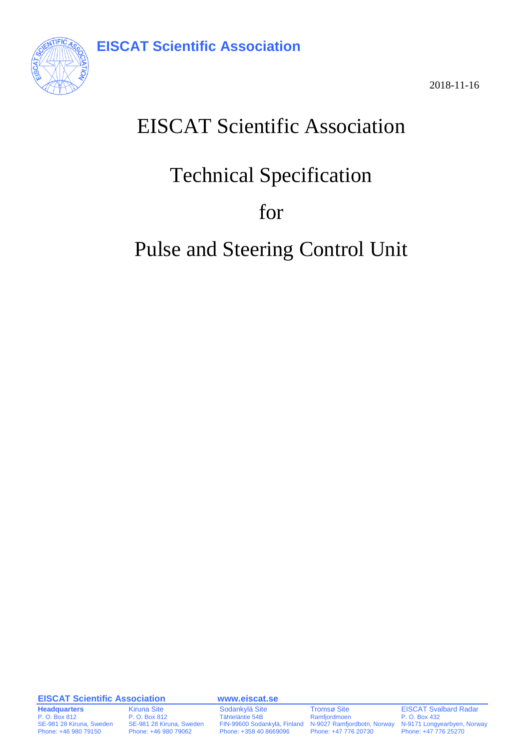

2018-11-16

# EISCAT Scientific Association

# Technical Specification

for

# Pulse and Steering Control Unit

**EISCAT Scientific Association www.eiscat.se**

**Headquarters** Kiruna Site Sodankylä Site Tromsø Site EISCAT Svalbard Radar<br>P. O. Box 812 P. O. Box 812 Tähteläntie 54B Ramfjordmoen P. O. Box 432 N-9027 Ramfjordbotn, Norway Phone: +46 980 79150 Phone: +46 980 79062 Phone: +358 40 8669096 Phone: +47 776 20730 Phone: +47 776 25270

P. O. Box 812 P. O. Box 812 P. O. Box 812 Tähteläntie 54B Ramfjordmoen P. O. Box 432 P. O. Box 432<br>SE-981 28 Kiruna, Sweden FIN-99600 Sodankylä, Finland N-9027 Ramfjordbotn, Norway N-9171 Longyearbyen, Norway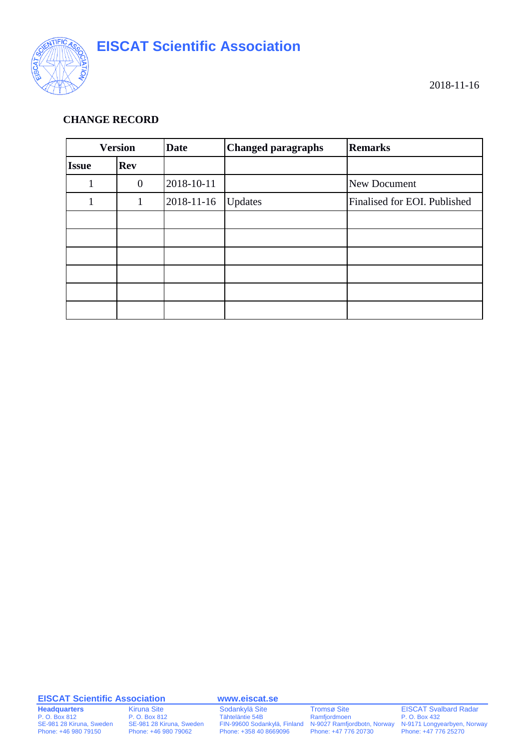

#### **CHANGE RECORD**

| <b>Version</b> |                | <b>Date</b> | <b>Changed paragraphs</b> | <b>Remarks</b>               |
|----------------|----------------|-------------|---------------------------|------------------------------|
| <b>Issue</b>   | <b>Rev</b>     |             |                           |                              |
|                | $\overline{0}$ | 2018-10-11  |                           | New Document                 |
| 1              |                | 2018-11-16  | Updates                   | Finalised for EOI. Published |
|                |                |             |                           |                              |
|                |                |             |                           |                              |
|                |                |             |                           |                              |
|                |                |             |                           |                              |
|                |                |             |                           |                              |
|                |                |             |                           |                              |

#### **EISCAT Scientific Association www.eiscat.se**

**Headquarters** Kiruna Site Sodankylä Site Tromsø Site EISCAT Svalbard Radar<br>
P. O. Box 812 P. O. Box 812 Tähteläntie 54B Ramfjordmoen P. O. Box 432 Phone: +46 980 79150 Phone: +46 980 79062 Phone: +358 40 8669096 Phone: +47 776 20730 Phone: +47 776 25270

P. O. Box 812<br>
P. O. Box 812<br>
P. O. Box 812<br>
P. O. Box 812<br>
P. O. Box 812<br>
P. O. Box 812<br>
P. O. Box 812<br>
P. O. Box 812<br>
P. O. Box 812<br>
P. O. Box 812<br>
P. O. Box 812<br>
P. O. Box 812<br>
P. O. Box 812<br>
P. O. Box 812<br>
P. O. Box 81 SE-981 28 Kiruna, Sweden SE-981 28 Kiruna, Sweden FIN-99600 Sodankylä, Finland N-9027 Ramfjordbotn, Norway N-9171 Longyearbyen, Norway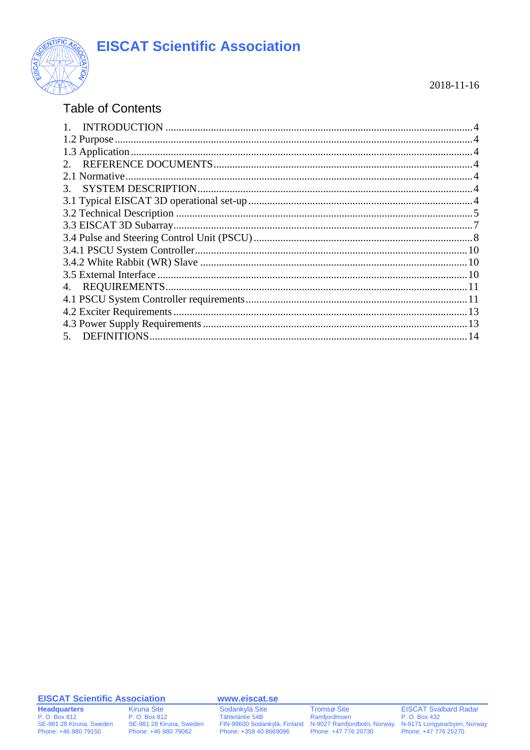

#### $2018 - 11 - 16$

### **Table of Contents**

| 2. |  |
|----|--|
|    |  |
| 3. |  |
|    |  |
|    |  |
|    |  |
|    |  |
|    |  |
|    |  |
|    |  |
|    |  |
|    |  |
|    |  |
|    |  |
|    |  |

#### **EISCAT Scientific Association**

**Headquarters** P. O. Box 812<br>SE-981 28 Kiruna, Sweden<br>Phone: +46 980 79150 **Kiruna Site** P. O. Box 812 SE-981 28 Kiruna, Sweden<br>Phone: +46 980 79062 www.eiscat.se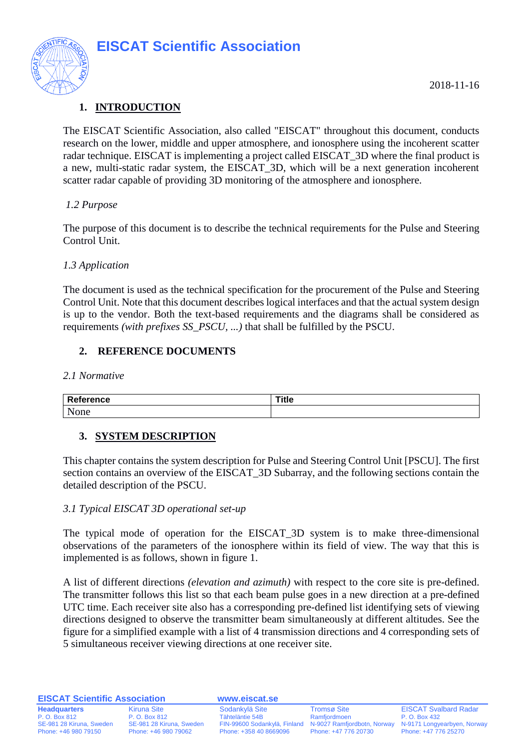

#### <span id="page-3-0"></span>**1. INTRODUCTION**

The EISCAT Scientific Association, also called "EISCAT" throughout this document, conducts research on the lower, middle and upper atmosphere, and ionosphere using the incoherent scatter radar technique. EISCAT is implementing a project called EISCAT\_3D where the final product is a new, multi-static radar system, the EISCAT\_3D, which will be a next generation incoherent scatter radar capable of providing 3D monitoring of the atmosphere and ionosphere.

#### <span id="page-3-1"></span>*1.2 Purpose*

The purpose of this document is to describe the technical requirements for the Pulse and Steering Control Unit.

#### <span id="page-3-2"></span>*1.3 Application*

The document is used as the technical specification for the procurement of the Pulse and Steering Control Unit. Note that this document describes logical interfaces and that the actual system design is up to the vendor. Both the text-based requirements and the diagrams shall be considered as requirements *(with prefixes SS\_PSCU, ...)* that shall be fulfilled by the PSCU.

#### <span id="page-3-3"></span>**2. REFERENCE DOCUMENTS**

<span id="page-3-4"></span>*2.1 Normative*

| <b>STATES OF ALL AND STATES</b> |     |
|---------------------------------|-----|
| n                               | . . |
| <b>N</b> 1<br>__                |     |

#### <span id="page-3-5"></span>**3. SYSTEM DESCRIPTION**

This chapter contains the system description for Pulse and Steering Control Unit [PSCU]. The first section contains an overview of the EISCAT\_3D Subarray, and the following sections contain the detailed description of the PSCU.

#### <span id="page-3-6"></span>*3.1 Typical EISCAT 3D operational set-up*

The typical mode of operation for the EISCAT\_3D system is to make three-dimensional observations of the parameters of the ionosphere within its field of view. The way that this is implemented is as follows, shown in figure 1.

A list of different directions *(elevation and azimuth)* with respect to the core site is pre-defined. The transmitter follows this list so that each beam pulse goes in a new direction at a pre-defined UTC time. Each receiver site also has a corresponding pre-defined list identifying sets of viewing directions designed to observe the transmitter beam simultaneously at different altitudes. See the figure for a simplified example with a list of 4 transmission directions and 4 corresponding sets of 5 simultaneous receiver viewing directions at one receiver site.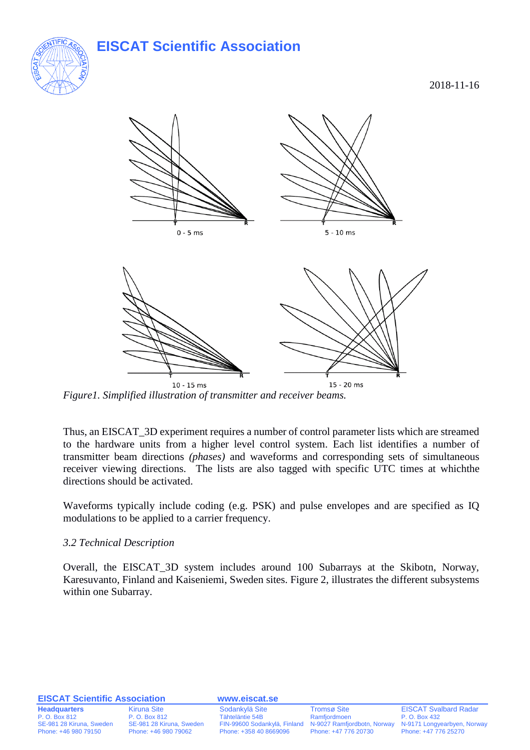

2018-11-16



*Figure1. Simplified illustration of transmitter and receiver beams.*

Thus, an EISCAT\_3D experiment requires a number of control parameter lists which are streamed to the hardware units from a higher level control system. Each list identifies a number of transmitter beam directions *(phases)* and waveforms and corresponding sets of simultaneous receiver viewing directions. The lists are also tagged with specific UTC times at whichthe directions should be activated.

Waveforms typically include coding (e.g. PSK) and pulse envelopes and are specified as IQ modulations to be applied to a carrier frequency.

#### <span id="page-4-0"></span>*3.2 Technical Description*

Overall, the EISCAT\_3D system includes around 100 Subarrays at the Skibotn, Norway, Karesuvanto, Finland and Kaiseniemi, Sweden sites. Figure 2, illustrates the different subsystems within one Subarray.

#### **EISCAT Scientific Association www.eiscat.se**

**Headquarters** Kiruna Site Sodankylä Site Tromsø Site EISCAT Svalbard Radar<br>P. O. Box 812 P. O. Box 812 Tähteläntie 54B Ramfjordmoen P. O. Box 432

Phone: +46 980 79150 Phone: +46 980 79062 Phone: +358 40 8669096 Phone: +47 776 20730 Phone: +47 776 25270

P. O. Box 812 P. O. Box 812 P. O. Box 812 P. O. Box 812 P. O. Box 432 Ramfjordmoen P. O. Box 432<br>SE-981 28 Kiruna, Sweden PIN-99600 Sodankylä, Finland N-9027 Ramfjordbotn, Norway N-9171 Longyearbyen, Norway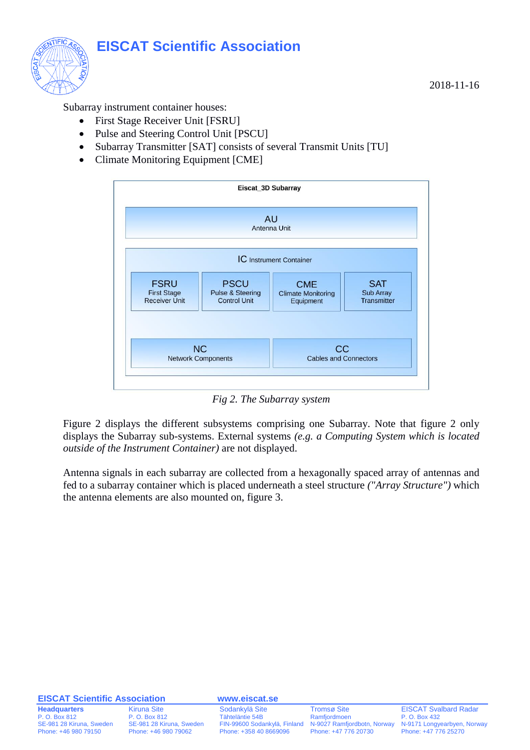

Subarray instrument container houses:

- First Stage Receiver Unit [FSRU]
- Pulse and Steering Control Unit [PSCU]
- Subarray Transmitter [SAT] consists of several Transmit Units [TU]
- Climate Monitoring Equipment [CME]



*Fig 2. The Subarray system*

Figure 2 displays the different subsystems comprising one Subarray. Note that figure 2 only displays the Subarray sub-systems. External systems *(e.g. a Computing System which is located outside of the Instrument Container)* are not displayed.

Antenna signals in each subarray are collected from a hexagonally spaced array of antennas and fed to a subarray container which is placed underneath a steel structure *("Array Structure")* which the antenna elements are also mounted on, figure 3.

#### **EISCAT Scientific Association www.eiscat.se**

**Headquarters** Kiruna Site Sodankylä Site Tromsø Site EISCAT Svalbard Radar<br>P. O. Box 812 P. O. Box 812 Tähteläntie 54B Ramfjordmoen P. O. Box 432 P. O. Box 812 P. O. Box 812 P. O. Box 812 P. O. Box 812 P. O. Box 432 Ramfjordmoen P. O. Box 432<br>SE-981 28 Kiruna, Sweden PIN-99600 Sodankylä, Finland N-9027 Ramfjordbotn, Norway N-9171 Longyearbyen, Norway

2018-11-16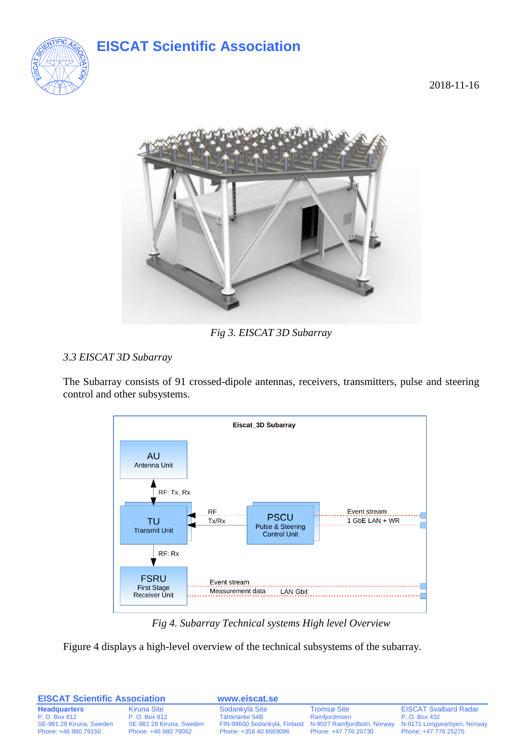

2018-11-16



*Fig 3. EISCAT 3D Subarray*

#### <span id="page-6-0"></span>*3.3 EISCAT 3D Subarray*

The Subarray consists of 91 crossed-dipole antennas, receivers, transmitters, pulse and steering control and other subsystems.



*Fig 4. Subarray Technical systems High level Overview*

Figure 4 displays a high-level overview of the technical subsystems of the subarray.

| <b>EISCAT Scientific Association</b>             |                                                  | www.eiscat.se          |                      |                                                                                                              |
|--------------------------------------------------|--------------------------------------------------|------------------------|----------------------|--------------------------------------------------------------------------------------------------------------|
| <b>Headquarters</b>                              | Kiruna Site                                      | Sodankylä Site         | <b>Tromsø Site</b>   | <b>EISCAT Svalbard Radar</b>                                                                                 |
| P. O. Box 812                                    | P. O. Box 812                                    | Tähteläntie 54B        | Ramfjordmoen         | P. O. Box 432                                                                                                |
| SE-981 28 Kiruna, Sweden<br>Phone: +46 980 79150 | SE-981 28 Kiruna, Sweden<br>Phone: +46 980 79062 | Phone: +358 40 8669096 | Phone: +47 776 20730 | FIN-99600 Sodankylä, Finland N-9027 Ramfjordbotn, Norway N-9171 Longyearbyen, Norway<br>Phone: +47 776 25270 |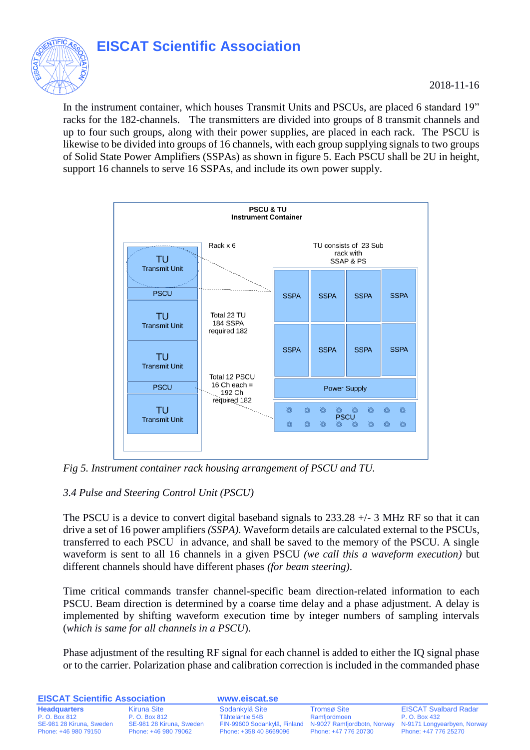

#### 2018-11-16

In the instrument container, which houses Transmit Units and PSCUs, are placed 6 standard 19" racks for the 182-channels. The transmitters are divided into groups of 8 transmit channels and up to four such groups, along with their power supplies, are placed in each rack. The PSCU is likewise to be divided into groups of 16 channels, with each group supplying signals to two groups of Solid State Power Amplifiers (SSPAs) as shown in figure 5. Each PSCU shall be 2U in height, support 16 channels to serve 16 SSPAs, and include its own power supply.



*Fig 5. Instrument container rack housing arrangement of PSCU and TU.* 

#### <span id="page-7-0"></span>*3.4 Pulse and Steering Control Unit (PSCU)*

The PSCU is a device to convert digital baseband signals to 233.28 +/- 3 MHz RF so that it can drive a set of 16 power amplifiers *(SSPA)*. Waveform details are calculated external to the PSCUs, transferred to each PSCU in advance, and shall be saved to the memory of the PSCU. A single waveform is sent to all 16 channels in a given PSCU *(we call this a waveform execution)* but different channels should have different phases *(for beam steering)*.

Time critical commands transfer channel-specific beam direction-related information to each PSCU. Beam direction is determined by a coarse time delay and a phase adjustment. A delay is implemented by shifting waveform execution time by integer numbers of sampling intervals (*which is same for all channels in a PSCU*).

Phase adjustment of the resulting RF signal for each channel is added to either the IQ signal phase or to the carrier. Polarization phase and calibration correction is included in the commanded phase

| <b>EISCAT Scientific Association</b>             |                                                  | www.eiscat.se          |                                                                                  |                                                     |
|--------------------------------------------------|--------------------------------------------------|------------------------|----------------------------------------------------------------------------------|-----------------------------------------------------|
| <b>Headquarters</b>                              | Kiruna Site                                      | Sodankylä Site         | <b>Tromsø Site</b>                                                               | <b>EISCAT Svalbard Radar</b>                        |
| P. O. Box 812                                    | P. O. Box 812                                    | Tähteläntie 54B        | Ramfjordmoen                                                                     | P. O. Box 432                                       |
| SE-981 28 Kiruna, Sweden<br>Phone: +46 980 79150 | SE-981 28 Kiruna, Sweden<br>Phone: +46 980 79062 | Phone: +358 40 8669096 | FIN-99600 Sodankylä, Finland N-9027 Ramfjordbotn, Norway<br>Phone: +47 776 20730 | N-9171 Longyearbyen, Norway<br>Phone: +47 776 25270 |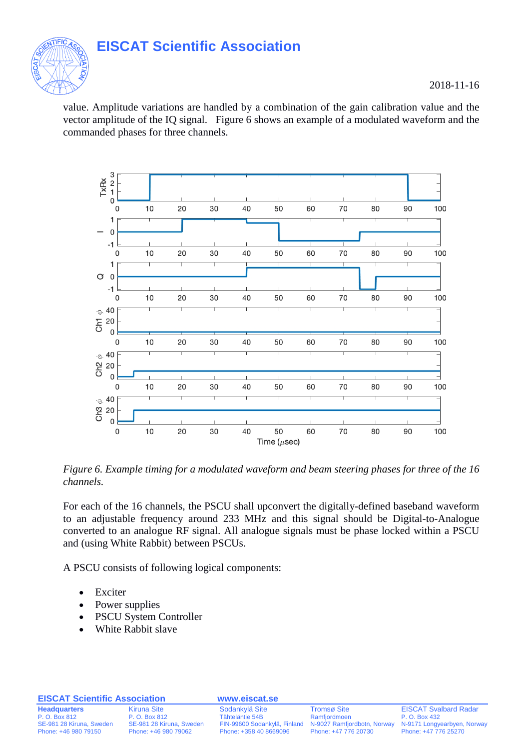

2018-11-16

value. Amplitude variations are handled by a combination of the gain calibration value and the vector amplitude of the IQ signal. Figure 6 shows an example of a modulated waveform and the commanded phases for three channels.



*Figure 6. Example timing for a modulated waveform and beam steering phases for three of the 16 channels.*

For each of the 16 channels, the PSCU shall upconvert the digitally-defined baseband waveform to an adjustable frequency around 233 MHz and this signal should be Digital-to-Analogue converted to an analogue RF signal. All analogue signals must be phase locked within a PSCU and (using White Rabbit) between PSCUs.

A PSCU consists of following logical components:

- Exciter
- Power supplies
- PSCU System Controller
- White Rabbit slave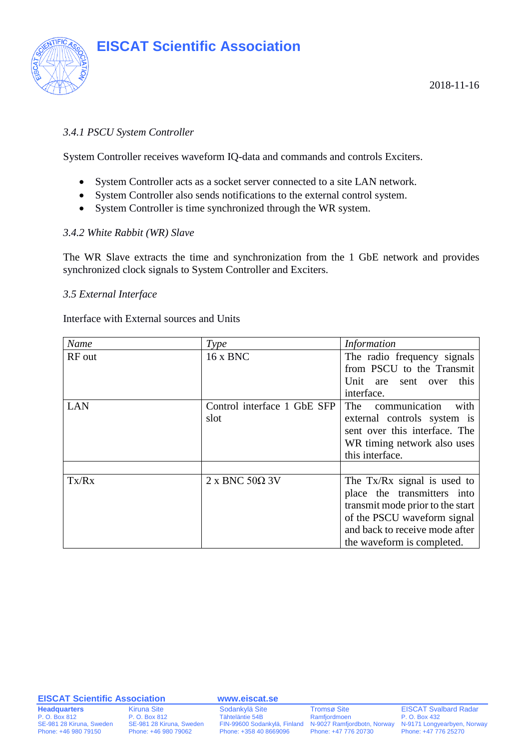

#### <span id="page-9-0"></span>*3.4.1 PSCU System Controller*

System Controller receives waveform IQ-data and commands and controls Exciters.

- System Controller acts as a socket server connected to a site LAN network.
- System Controller also sends notifications to the external control system.
- System Controller is time synchronized through the WR system.

#### <span id="page-9-1"></span>*3.4.2 White Rabbit (WR) Slave*

The WR Slave extracts the time and synchronization from the 1 GbE network and provides synchronized clock signals to System Controller and Exciters.

#### <span id="page-9-2"></span>*3.5 External Interface*

Interface with External sources and Units

| Name       | Type                          | <b>Information</b>               |
|------------|-------------------------------|----------------------------------|
| RF out     | 16 x BNC                      | The radio frequency signals      |
|            |                               | from PSCU to the Transmit        |
|            |                               | Unit are<br>this<br>sent<br>over |
|            |                               | interface.                       |
| <b>LAN</b> | Control interface 1 GbE SFP   | The<br>with<br>communication     |
|            | slot                          | external controls system is      |
|            |                               | sent over this interface. The    |
|            |                               | WR timing network also uses      |
|            |                               | this interface.                  |
|            |                               |                                  |
| Tx/Rx      | $2 \times$ BNC 50 $\Omega$ 3V | The Tx/Rx signal is used to      |
|            |                               | place the transmitters into      |
|            |                               | transmit mode prior to the start |
|            |                               | of the PSCU waveform signal      |
|            |                               | and back to receive mode after   |
|            |                               | the waveform is completed.       |

#### **EISCAT Scientific Association www.eiscat.se**

 $N-9027$  Ramfjordbotn, Norway

**Headquarters** Kiruna Site Sodankylä Site Tromsø Site EISCAT Svalbard Radar<br>P. O. Box 812 P. O. Box 812 Tähteläntie 54B Ramfjordmoen P. O. Box 432 P. O. Box 812 P. O. Box 812 P. O. Box 812 Tähteläntie 54B Ramfjordmoen P. O. Box 432 P. O. Box 432<br>SE-981 28 Kiruna, Sweden FIN-99600 Sodankylä, Finland N-9027 Ramfjordbotn, Norway N-9171 Longyearbyen, Norway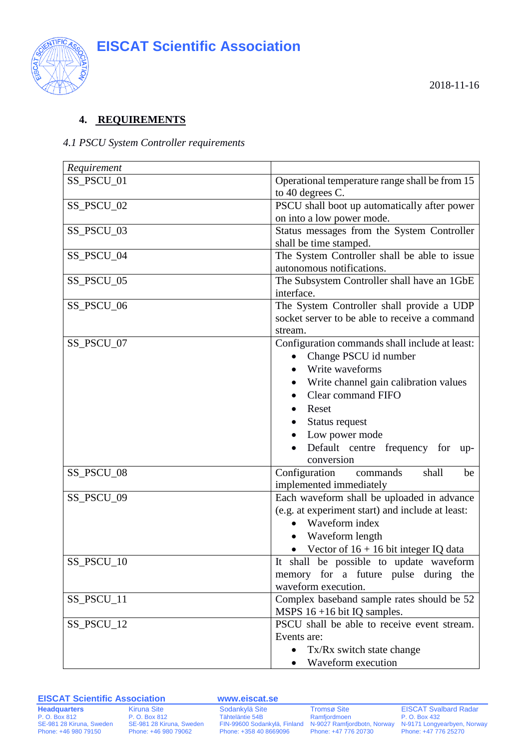

#### <span id="page-10-0"></span>**4. REQUIREMENTS**

#### <span id="page-10-1"></span>*4.1 PSCU System Controller requirements*

| Requirement |                                                                                                                                                                                                                                                                       |
|-------------|-----------------------------------------------------------------------------------------------------------------------------------------------------------------------------------------------------------------------------------------------------------------------|
| SS_PSCU_01  | Operational temperature range shall be from 15<br>to 40 degrees C.                                                                                                                                                                                                    |
| SS_PSCU_02  | PSCU shall boot up automatically after power<br>on into a low power mode.                                                                                                                                                                                             |
| SS_PSCU_03  | Status messages from the System Controller<br>shall be time stamped.                                                                                                                                                                                                  |
| SS_PSCU_04  | The System Controller shall be able to issue<br>autonomous notifications.                                                                                                                                                                                             |
| SS_PSCU_05  | The Subsystem Controller shall have an 1GbE<br>interface.                                                                                                                                                                                                             |
| SS_PSCU_06  | The System Controller shall provide a UDP<br>socket server to be able to receive a command<br>stream.                                                                                                                                                                 |
| SS_PSCU_07  | Configuration commands shall include at least:<br>Change PSCU id number<br>$\bullet$<br>Write waveforms<br>Write channel gain calibration values<br>Clear command FIFO<br>Reset<br>Status request<br>Low power mode<br>Default centre frequency for up-<br>conversion |
| SS_PSCU_08  | Configuration<br>commands<br>shall<br>be<br>implemented immediately                                                                                                                                                                                                   |
| SS_PSCU_09  | Each waveform shall be uploaded in advance<br>(e.g. at experiment start) and include at least:<br>Waveform index<br>$\bullet$<br>Waveform length<br>• Vector of $16 + 16$ bit integer IQ data                                                                         |
| SS_PSCU_10  | It shall be possible to update waveform<br>memory for a future pulse during the<br>waveform execution.                                                                                                                                                                |
| SS_PSCU_11  | Complex baseband sample rates should be 52<br>MSPS $16 + 16$ bit IQ samples.                                                                                                                                                                                          |
| SS_PSCU_12  | PSCU shall be able to receive event stream.<br>Events are:<br>Tx/Rx switch state change<br>Waveform execution                                                                                                                                                         |

#### **EISCAT Scientific Association www.eiscat.se**

Phone: +358 40 8669096<br>Phone: +358 40 8669096

**Headquarters** Kiruna Site Sodankylä Site Tromsø Site EISCAT Svalbard Radar<br>
P. O. Box 812 P. O. Box 812 Tähteläntie 54B Ramfjordmoen P. O. Box 432 P. O. Box 812 P. O. Box 812 P. O. Box 812 Tähteläntie 54B Ramfjordmoen P. O. Box 432<br>
9991 28 Kiruna, Sweden FIN-99600 Sodankylä, Finland N-9027 Ramfjordbotn, Norway N-9171 Longyearbyen, Norway<br>
9991 Phone: +46 980 79062 P SE-981 28 Kiruna, Sweden FIN-99600 Sodankylä, Finland N-9027 Ramfjordbotn, Norway Phone: +46 980 79062 Phone: +358 40 8669096 Phone: +47 776 20730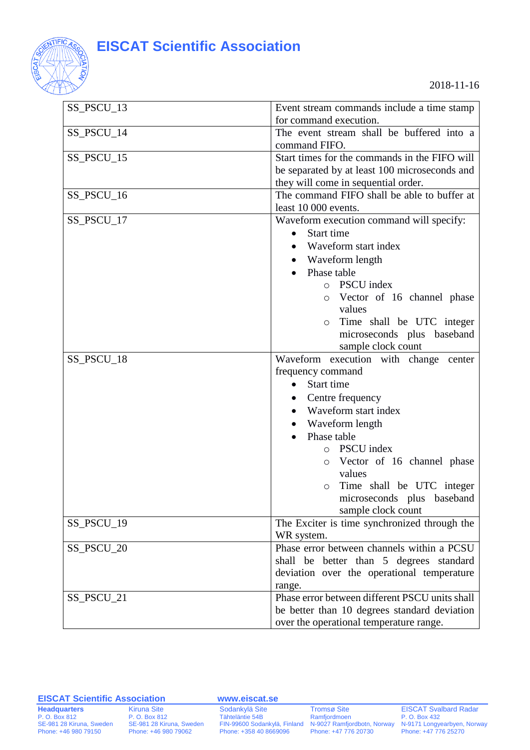

| SS_PSCU_13 | Event stream commands include a time stamp     |
|------------|------------------------------------------------|
|            | for command execution.                         |
| SS_PSCU_14 | The event stream shall be buffered into a      |
|            | command FIFO.                                  |
| SS_PSCU_15 | Start times for the commands in the FIFO will  |
|            | be separated by at least 100 microseconds and  |
|            | they will come in sequential order.            |
| SS_PSCU_16 | The command FIFO shall be able to buffer at    |
|            | least 10 000 events.                           |
| SS_PSCU_17 | Waveform execution command will specify:       |
|            | Start time<br>$\bullet$                        |
|            | Waveform start index<br>$\bullet$              |
|            | • Waveform length                              |
|            | Phase table                                    |
|            | o PSCU index                                   |
|            | Vector of 16 channel phase<br>$\circ$          |
|            | values                                         |
|            | Time shall be UTC integer<br>$\circ$           |
|            | microseconds plus baseband                     |
|            | sample clock count                             |
| SS_PSCU_18 | Waveform execution with change center          |
|            | frequency command                              |
|            | Start time                                     |
|            | Centre frequency<br>$\bullet$                  |
|            | Waveform start index                           |
|            | Waveform length                                |
|            | Phase table                                    |
|            | <b>PSCU</b> index<br>$\circ$                   |
|            | Vector of 16 channel phase<br>$\circ$          |
|            | values                                         |
|            | o Time shall be UTC integer                    |
|            | microseconds plus baseband                     |
|            | sample clock count                             |
| SS_PSCU_19 | The Exciter is time synchronized through the   |
|            | WR system.                                     |
| SS_PSCU_20 | Phase error between channels within a PCSU     |
|            | shall be better than 5 degrees standard        |
|            | deviation over the operational temperature     |
|            | range.                                         |
| SS_PSCU_21 | Phase error between different PSCU units shall |
|            | be better than 10 degrees standard deviation   |
|            | over the operational temperature range.        |
|            |                                                |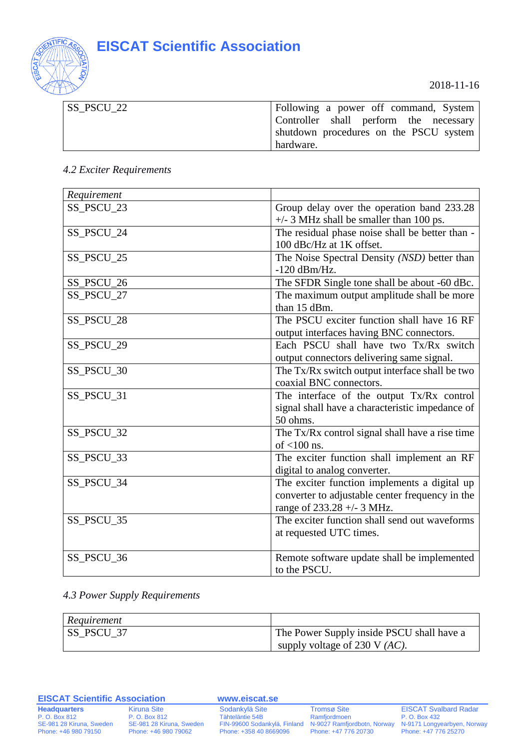

2018-11-16

| $SS_PSCU_22$ | Following a power off command, System  |
|--------------|----------------------------------------|
|              | Controller shall perform the necessary |
|              | shutdown procedures on the PSCU system |
|              | hardware.                              |

#### <span id="page-12-0"></span>*4.2 Exciter Requirements*

| Requirement |                                                             |
|-------------|-------------------------------------------------------------|
| SS_PSCU_23  | Group delay over the operation band 233.28                  |
|             | $+/-$ 3 MHz shall be smaller than 100 ps.                   |
| SS_PSCU_24  | The residual phase noise shall be better than -             |
|             | 100 dBc/Hz at 1K offset.                                    |
| SS_PSCU_25  | The Noise Spectral Density (NSD) better than                |
|             | $-120$ dBm/Hz.                                              |
| SS_PSCU_26  | The SFDR Single tone shall be about -60 dBc.                |
| SS_PSCU_27  | The maximum output amplitude shall be more                  |
|             | than 15 dBm.                                                |
| SS_PSCU_28  | The PSCU exciter function shall have 16 RF                  |
|             | output interfaces having BNC connectors.                    |
| SS_PSCU_29  | Each PSCU shall have two Tx/Rx switch                       |
|             | output connectors delivering same signal.                   |
| SS_PSCU_30  | The Tx/Rx switch output interface shall be two              |
|             | coaxial BNC connectors.                                     |
| SS_PSCU_31  | The interface of the output Tx/Rx control                   |
|             | signal shall have a characteristic impedance of             |
|             | 50 ohms.                                                    |
| SS_PSCU_32  | The Tx/Rx control signal shall have a rise time             |
|             | of $<$ 100 ns.                                              |
| SS_PSCU_33  | The exciter function shall implement an RF                  |
|             | digital to analog converter.                                |
| SS_PSCU_34  | The exciter function implements a digital up                |
|             | converter to adjustable center frequency in the             |
|             | range of 233.28 +/- 3 MHz.                                  |
| SS_PSCU_35  | The exciter function shall send out waveforms               |
|             | at requested UTC times.                                     |
| SS_PSCU_36  |                                                             |
|             | Remote software update shall be implemented<br>to the PSCU. |
|             |                                                             |

#### <span id="page-12-1"></span>*4.3 Power Supply Requirements*

| Requirement |                                           |
|-------------|-------------------------------------------|
| 'SS PSCU 37 | The Power Supply inside PSCU shall have a |
|             | supply voltage of 230 V $(AC)$ .          |